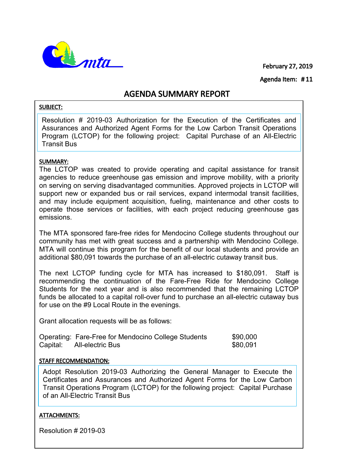February 27, 2019



Agenda Item: # 11

# AGENDA SUMMARY REPORT

#### SUBJECT:

Resolution # 2019-03 Authorization for the Execution of the Certificates and Assurances and Authorized Agent Forms for the Low Carbon Transit Operations Program (LCTOP) for the following project: Capital Purchase of an All-Electric Transit Bus

#### SUMMARY:

The LCTOP was created to provide operating and capital assistance for transit agencies to reduce greenhouse gas emission and improve mobility, with a priority on serving on serving disadvantaged communities. Approved projects in LCTOP will support new or expanded bus or rail services, expand intermodal transit facilities, and may include equipment acquisition, fueling, maintenance and other costs to operate those services or facilities, with each project reducing greenhouse gas emissions.

The MTA sponsored fare-free rides for Mendocino College students throughout our community has met with great success and a partnership with Mendocino College. MTA will continue this program for the benefit of our local students and provide an additional \$80,091 towards the purchase of an all-electric cutaway transit bus.

The next LCTOP funding cycle for MTA has increased to \$180,091. Staff is recommending the continuation of the Fare-Free Ride for Mendocino College Students for the next year and is also recommended that the remaining LCTOP funds be allocated to a capital roll-over fund to purchase an all-electric cutaway bus for use on the #9 Local Route in the evenings.

Grant allocation requests will be as follows:

|          | Operating: Fare-Free for Mendocino College Students | \$90,000 |
|----------|-----------------------------------------------------|----------|
| Capital: | All-electric Bus                                    | \$80,091 |

## STAFF RECOMMENDATION:

Adopt Resolution 2019-03 Authorizing the General Manager to Execute the Certificates and Assurances and Authorized Agent Forms for the Low Carbon Transit Operations Program (LCTOP) for the following project: Capital Purchase of an All-Electric Transit Bus

## ATTACHMENTS:

Resolution # 2019-03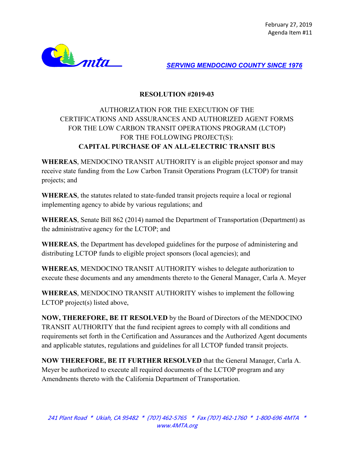

*SERVING MENDOCINO COUNTY SINCE 1976*

## **RESOLUTION #2019-03**

## AUTHORIZATION FOR THE EXECUTION OF THE CERTIFICATIONS AND ASSURANCES AND AUTHORIZED AGENT FORMS FOR THE LOW CARBON TRANSIT OPERATIONS PROGRAM (LCTOP) FOR THE FOLLOWING PROJECT(S): **CAPITAL PURCHASE OF AN ALL-ELECTRIC TRANSIT BUS**

**WHEREAS**, MENDOCINO TRANSIT AUTHORITY is an eligible project sponsor and may receive state funding from the Low Carbon Transit Operations Program (LCTOP) for transit projects; and

**WHEREAS**, the statutes related to state-funded transit projects require a local or regional implementing agency to abide by various regulations; and

**WHEREAS**, Senate Bill 862 (2014) named the Department of Transportation (Department) as the administrative agency for the LCTOP; and

**WHEREAS**, the Department has developed guidelines for the purpose of administering and distributing LCTOP funds to eligible project sponsors (local agencies); and

**WHEREAS**, MENDOCINO TRANSIT AUTHORITY wishes to delegate authorization to execute these documents and any amendments thereto to the General Manager, Carla A. Meyer

**WHEREAS**, MENDOCINO TRANSIT AUTHORITY wishes to implement the following LCTOP project(s) listed above,

**NOW, THEREFORE, BE IT RESOLVED** by the Board of Directors of the MENDOCINO TRANSIT AUTHORITY that the fund recipient agrees to comply with all conditions and requirements set forth in the Certification and Assurances and the Authorized Agent documents and applicable statutes, regulations and guidelines for all LCTOP funded transit projects.

**NOW THEREFORE, BE IT FURTHER RESOLVED** that the General Manager, Carla A. Meyer be authorized to execute all required documents of the LCTOP program and any Amendments thereto with the California Department of Transportation.